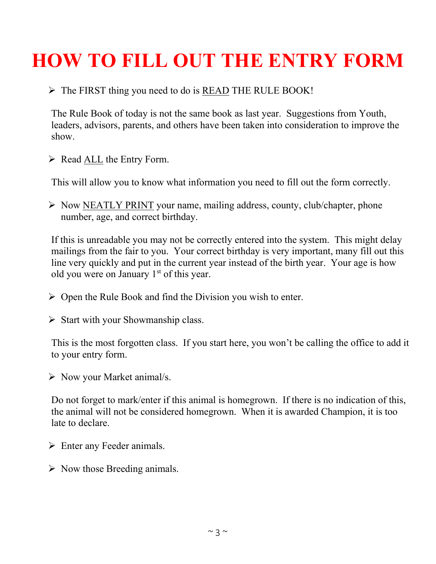## **HOW TO FILL OUT THE ENTRY FORM**

## $\triangleright$  The FIRST thing you need to do is READ THE RULE BOOK!

The Rule Book of today is not the same book as last year. Suggestions from Youth, leaders, advisors, parents, and others have been taken into consideration to improve the show.

 $\triangleright$  Read <u>ALL</u> the Entry Form.

This will allow you to know what information you need to fill out the form correctly.

 $\triangleright$  Now NEATLY PRINT your name, mailing address, county, club/chapter, phone number, age, and correct birthday.

If this is unreadable you may not be correctly entered into the system. This might delay mailings from the fair to you. Your correct birthday is very important, many fill out this line very quickly and put in the current year instead of the birth year. Your age is how old you were on January 1<sup>st</sup> of this year.

- $\triangleright$  Open the Rule Book and find the Division you wish to enter.
- $\triangleright$  Start with your Showmanship class.

This is the most forgotten class. If you start here, you won't be calling the office to add it to your entry form.

 $\triangleright$  Now your Market animal/s.

Do not forget to mark/enter if this animal is homegrown. If there is no indication of this, the animal will not be considered homegrown. When it is awarded Champion, it is too late to declare.

- $\triangleright$  Enter any Feeder animals.
- $\triangleright$  Now those Breeding animals.